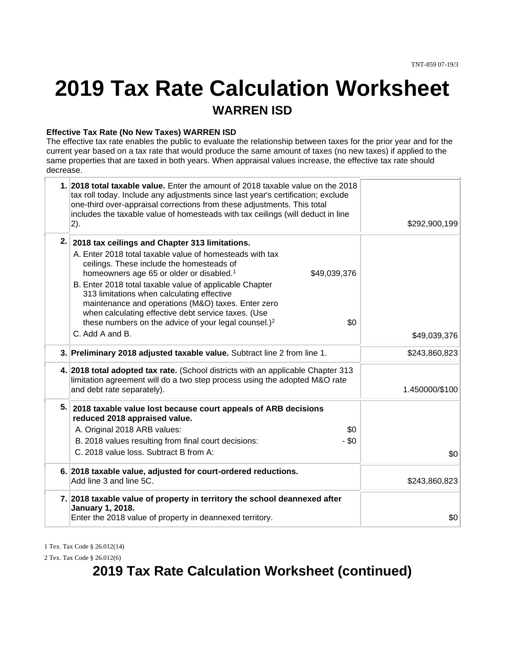# **2019 Tax Rate Calculation Worksheet WARREN ISD**

#### **Effective Tax Rate (No New Taxes) WARREN ISD**

The effective tax rate enables the public to evaluate the relationship between taxes for the prior year and for the current year based on a tax rate that would produce the same amount of taxes (no new taxes) if applied to the same properties that are taxed in both years. When appraisal values increase, the effective tax rate should decrease.

|    | 1. 2018 total taxable value. Enter the amount of 2018 taxable value on the 2018<br>tax roll today. Include any adjustments since last year's certification; exclude<br>one-third over-appraisal corrections from these adjustments. This total<br>includes the taxable value of homesteads with tax ceilings (will deduct in line<br>2).    | \$292,900,199  |
|----|---------------------------------------------------------------------------------------------------------------------------------------------------------------------------------------------------------------------------------------------------------------------------------------------------------------------------------------------|----------------|
|    | 2. 2018 tax ceilings and Chapter 313 limitations.<br>A. Enter 2018 total taxable value of homesteads with tax<br>ceilings. These include the homesteads of<br>homeowners age 65 or older or disabled. <sup>1</sup><br>\$49,039,376<br>B. Enter 2018 total taxable value of applicable Chapter<br>313 limitations when calculating effective |                |
|    | maintenance and operations (M&O) taxes. Enter zero<br>when calculating effective debt service taxes. (Use<br>these numbers on the advice of your legal counsel.) <sup>2</sup><br>\$0<br>C. Add A and B.                                                                                                                                     | \$49,039,376   |
|    | 3. Preliminary 2018 adjusted taxable value. Subtract line 2 from line 1.                                                                                                                                                                                                                                                                    | \$243,860,823  |
|    | 4. 2018 total adopted tax rate. (School districts with an applicable Chapter 313<br>limitation agreement will do a two step process using the adopted M&O rate<br>and debt rate separately).                                                                                                                                                | 1.450000/\$100 |
| 5. | 2018 taxable value lost because court appeals of ARB decisions<br>reduced 2018 appraised value.<br>\$0<br>A. Original 2018 ARB values:                                                                                                                                                                                                      |                |
|    | B. 2018 values resulting from final court decisions:<br>$-$ \$0<br>C. 2018 value loss. Subtract B from A:                                                                                                                                                                                                                                   | \$0            |
|    | 6. 2018 taxable value, adjusted for court-ordered reductions.<br>Add line 3 and line 5C.                                                                                                                                                                                                                                                    | \$243,860,823  |
|    | 7. 2018 taxable value of property in territory the school deannexed after<br>January 1, 2018.<br>Enter the 2018 value of property in deannexed territory.                                                                                                                                                                                   | \$0            |
|    |                                                                                                                                                                                                                                                                                                                                             |                |

1 Tex. Tax Code § 26.012(14)

2 Tex. Tax Code § 26.012(6)

### **2019 Tax Rate Calculation Worksheet (continued)**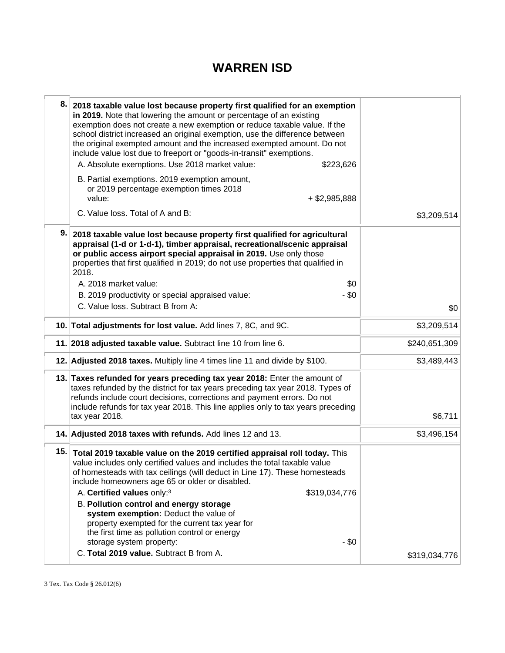### **WARREN ISD**

| 8.  | 2018 taxable value lost because property first qualified for an exemption<br>in 2019. Note that lowering the amount or percentage of an existing<br>exemption does not create a new exemption or reduce taxable value. If the<br>school district increased an original exemption, use the difference between<br>the original exempted amount and the increased exempted amount. Do not<br>include value lost due to freeport or "goods-in-transit" exemptions.<br>A. Absolute exemptions. Use 2018 market value:<br>\$223,626<br>B. Partial exemptions. 2019 exemption amount,<br>or 2019 percentage exemption times 2018<br>value:<br>$+$ \$2,985,888 |               |
|-----|--------------------------------------------------------------------------------------------------------------------------------------------------------------------------------------------------------------------------------------------------------------------------------------------------------------------------------------------------------------------------------------------------------------------------------------------------------------------------------------------------------------------------------------------------------------------------------------------------------------------------------------------------------|---------------|
|     | C. Value loss. Total of A and B:                                                                                                                                                                                                                                                                                                                                                                                                                                                                                                                                                                                                                       | \$3,209,514   |
| 9.  | 2018 taxable value lost because property first qualified for agricultural<br>appraisal (1-d or 1-d-1), timber appraisal, recreational/scenic appraisal<br>or public access airport special appraisal in 2019. Use only those<br>properties that first qualified in 2019; do not use properties that qualified in<br>2018.<br>\$0<br>A. 2018 market value:<br>B. 2019 productivity or special appraised value:<br>- \$0<br>C. Value loss. Subtract B from A:                                                                                                                                                                                            | \$0           |
|     | 10. Total adjustments for lost value. Add lines 7, 8C, and 9C.                                                                                                                                                                                                                                                                                                                                                                                                                                                                                                                                                                                         | \$3,209,514   |
|     | 11. 2018 adjusted taxable value. Subtract line 10 from line 6.                                                                                                                                                                                                                                                                                                                                                                                                                                                                                                                                                                                         | \$240,651,309 |
|     | 12. Adjusted 2018 taxes. Multiply line 4 times line 11 and divide by \$100.                                                                                                                                                                                                                                                                                                                                                                                                                                                                                                                                                                            | \$3,489,443   |
|     | 13. Taxes refunded for years preceding tax year 2018: Enter the amount of<br>taxes refunded by the district for tax years preceding tax year 2018. Types of<br>refunds include court decisions, corrections and payment errors. Do not<br>include refunds for tax year 2018. This line applies only to tax years preceding<br>tax year 2018.                                                                                                                                                                                                                                                                                                           | \$6,711       |
|     | 14. Adjusted 2018 taxes with refunds. Add lines 12 and 13.                                                                                                                                                                                                                                                                                                                                                                                                                                                                                                                                                                                             | \$3,496,154   |
| 15. | Total 2019 taxable value on the 2019 certified appraisal roll today. This<br>value includes only certified values and includes the total taxable value<br>of homesteads with tax ceilings (will deduct in Line 17). These homesteads<br>include homeowners age 65 or older or disabled.<br>A. Certified values only:3<br>\$319,034,776<br><b>B. Pollution control and energy storage</b><br>system exemption: Deduct the value of<br>property exempted for the current tax year for<br>the first time as pollution control or energy<br>- \$0<br>storage system property:<br>C. Total 2019 value. Subtract B from A.                                   | \$319,034,776 |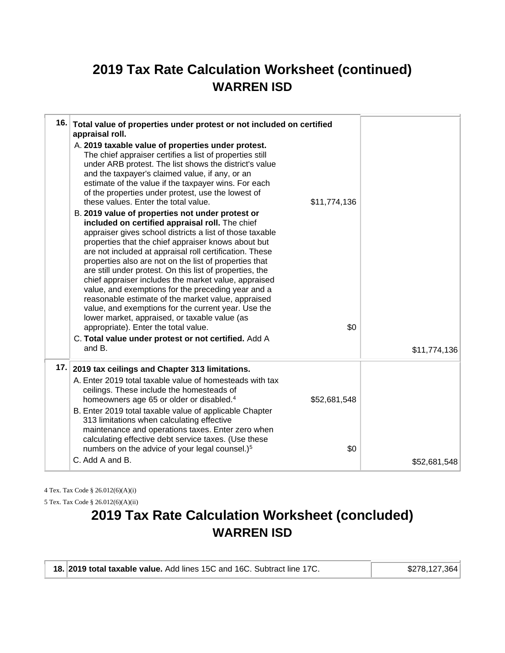## **2019 Tax Rate Calculation Worksheet (continued) WARREN ISD**

|     | 16. Total value of properties under protest or not included on certified<br>appraisal roll.<br>A. 2019 taxable value of properties under protest.<br>The chief appraiser certifies a list of properties still<br>under ARB protest. The list shows the district's value<br>and the taxpayer's claimed value, if any, or an<br>estimate of the value if the taxpayer wins. For each<br>of the properties under protest, use the lowest of<br>these values. Enter the total value.<br>B. 2019 value of properties not under protest or<br>included on certified appraisal roll. The chief<br>appraiser gives school districts a list of those taxable<br>properties that the chief appraiser knows about but<br>are not included at appraisal roll certification. These<br>properties also are not on the list of properties that<br>are still under protest. On this list of properties, the<br>chief appraiser includes the market value, appraised<br>value, and exemptions for the preceding year and a<br>reasonable estimate of the market value, appraised<br>value, and exemptions for the current year. Use the<br>lower market, appraised, or taxable value (as<br>appropriate). Enter the total value.<br>C. Total value under protest or not certified. Add A<br>and B. | \$11,774,136<br>\$0 | \$11,774,136 |
|-----|-----------------------------------------------------------------------------------------------------------------------------------------------------------------------------------------------------------------------------------------------------------------------------------------------------------------------------------------------------------------------------------------------------------------------------------------------------------------------------------------------------------------------------------------------------------------------------------------------------------------------------------------------------------------------------------------------------------------------------------------------------------------------------------------------------------------------------------------------------------------------------------------------------------------------------------------------------------------------------------------------------------------------------------------------------------------------------------------------------------------------------------------------------------------------------------------------------------------------------------------------------------------------------------|---------------------|--------------|
| 17. | 2019 tax ceilings and Chapter 313 limitations.<br>A. Enter 2019 total taxable value of homesteads with tax<br>ceilings. These include the homesteads of<br>homeowners age 65 or older or disabled. <sup>4</sup><br>B. Enter 2019 total taxable value of applicable Chapter<br>313 limitations when calculating effective<br>maintenance and operations taxes. Enter zero when<br>calculating effective debt service taxes. (Use these<br>numbers on the advice of your legal counsel.) <sup>5</sup><br>C. Add A and B.                                                                                                                                                                                                                                                                                                                                                                                                                                                                                                                                                                                                                                                                                                                                                            | \$52,681,548<br>\$0 | \$52,681,548 |

4 Tex. Tax Code § 26.012(6)(A)(i)

5 Tex. Tax Code § 26.012(6)(A)(ii)

# **2019 Tax Rate Calculation Worksheet (concluded) WARREN ISD**

| 18. 2019 total taxable value. Add lines 15C and 16C. Subtract line 17C. | \$278,127,364 |
|-------------------------------------------------------------------------|---------------|
|-------------------------------------------------------------------------|---------------|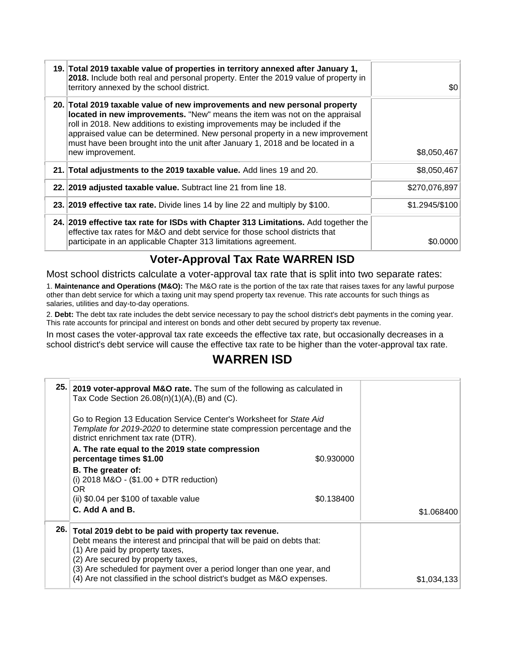| 19. Total 2019 taxable value of properties in territory annexed after January 1,<br>2018. Include both real and personal property. Enter the 2019 value of property in<br>territory annexed by the school district.                                                                                                                                                                                                            | \$0            |
|--------------------------------------------------------------------------------------------------------------------------------------------------------------------------------------------------------------------------------------------------------------------------------------------------------------------------------------------------------------------------------------------------------------------------------|----------------|
| 20. Total 2019 taxable value of new improvements and new personal property<br>located in new improvements. "New" means the item was not on the appraisal<br>roll in 2018. New additions to existing improvements may be included if the<br>appraised value can be determined. New personal property in a new improvement<br>must have been brought into the unit after January 1, 2018 and be located in a<br>new improvement. | \$8,050,467    |
| 21. Total adjustments to the 2019 taxable value. Add lines 19 and 20.                                                                                                                                                                                                                                                                                                                                                          | \$8,050,467    |
| 22. 2019 adjusted taxable value. Subtract line 21 from line 18.                                                                                                                                                                                                                                                                                                                                                                | \$270,076,897  |
| 23. 2019 effective tax rate. Divide lines 14 by line 22 and multiply by \$100.                                                                                                                                                                                                                                                                                                                                                 | \$1.2945/\$100 |
| 24. 2019 effective tax rate for ISDs with Chapter 313 Limitations. Add together the<br>effective tax rates for M&O and debt service for those school districts that<br>participate in an applicable Chapter 313 limitations agreement.                                                                                                                                                                                         | \$0.0000       |

### **Voter-Approval Tax Rate WARREN ISD**

Most school districts calculate a voter-approval tax rate that is split into two separate rates:

1. **Maintenance and Operations (M&O):** The M&O rate is the portion of the tax rate that raises taxes for any lawful purpose other than debt service for which a taxing unit may spend property tax revenue. This rate accounts for such things as salaries, utilities and day-to-day operations.

2. **Debt:** The debt tax rate includes the debt service necessary to pay the school district's debt payments in the coming year. This rate accounts for principal and interest on bonds and other debt secured by property tax revenue.

In most cases the voter-approval tax rate exceeds the effective tax rate, but occasionally decreases in a school district's debt service will cause the effective tax rate to be higher than the voter-approval tax rate.

### **WARREN ISD**

|     | 25. 2019 voter-approval M&O rate. The sum of the following as calculated in<br>Tax Code Section $26.08(n)(1)(A),(B)$ and (C).                                                                                                                                                     |             |
|-----|-----------------------------------------------------------------------------------------------------------------------------------------------------------------------------------------------------------------------------------------------------------------------------------|-------------|
|     | Go to Region 13 Education Service Center's Worksheet for State Aid<br>Template for 2019-2020 to determine state compression percentage and the<br>district enrichment tax rate (DTR).                                                                                             |             |
|     | A. The rate equal to the 2019 state compression<br>percentage times \$1.00<br>\$0.930000                                                                                                                                                                                          |             |
|     | B. The greater of:<br>(i) $2018$ M&O - $($1.00 + DTR$ reduction)<br>OR.                                                                                                                                                                                                           |             |
|     | (ii) $$0.04$ per $$100$ of taxable value<br>\$0.138400                                                                                                                                                                                                                            |             |
|     | C. Add A and B.                                                                                                                                                                                                                                                                   | \$1.068400  |
| 26. | Total 2019 debt to be paid with property tax revenue.<br>Debt means the interest and principal that will be paid on debts that:<br>(1) Are paid by property taxes,<br>(2) Are secured by property taxes,<br>(3) Are scheduled for payment over a period longer than one year, and |             |
|     | (4) Are not classified in the school district's budget as M&O expenses.                                                                                                                                                                                                           | \$1,034,133 |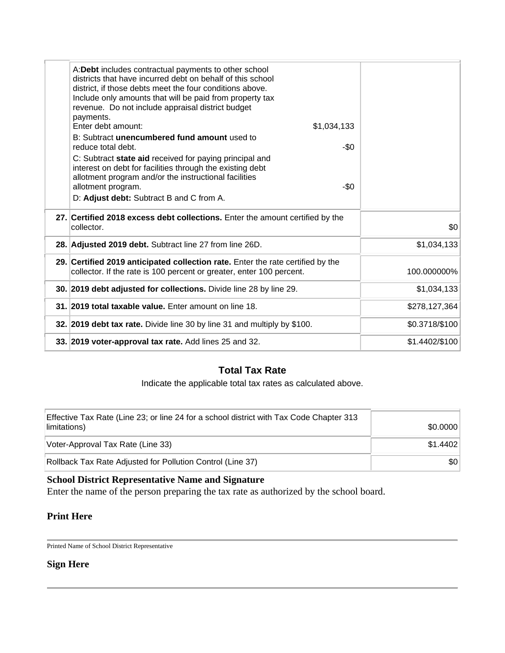| A: Debt includes contractual payments to other school<br>districts that have incurred debt on behalf of this school<br>district, if those debts meet the four conditions above.<br>Include only amounts that will be paid from property tax<br>revenue. Do not include appraisal district budget<br>payments.<br>Enter debt amount:<br>\$1,034,133<br>B: Subtract unencumbered fund amount used to<br>reduce total debt.<br>-\$0<br>C: Subtract state aid received for paying principal and<br>interest on debt for facilities through the existing debt<br>allotment program and/or the instructional facilities<br>allotment program.<br>-\$0<br>D: Adjust debt: Subtract B and C from A. |                |
|---------------------------------------------------------------------------------------------------------------------------------------------------------------------------------------------------------------------------------------------------------------------------------------------------------------------------------------------------------------------------------------------------------------------------------------------------------------------------------------------------------------------------------------------------------------------------------------------------------------------------------------------------------------------------------------------|----------------|
| 27. Certified 2018 excess debt collections. Enter the amount certified by the<br>collector.                                                                                                                                                                                                                                                                                                                                                                                                                                                                                                                                                                                                 | \$0            |
| 28. Adjusted 2019 debt. Subtract line 27 from line 26D.                                                                                                                                                                                                                                                                                                                                                                                                                                                                                                                                                                                                                                     | \$1,034,133    |
| 29. Certified 2019 anticipated collection rate. Enter the rate certified by the<br>collector. If the rate is 100 percent or greater, enter 100 percent.                                                                                                                                                                                                                                                                                                                                                                                                                                                                                                                                     | 100.000000%    |
| 30. 2019 debt adjusted for collections. Divide line 28 by line 29.                                                                                                                                                                                                                                                                                                                                                                                                                                                                                                                                                                                                                          | \$1,034,133    |
| 31. 2019 total taxable value. Enter amount on line 18.                                                                                                                                                                                                                                                                                                                                                                                                                                                                                                                                                                                                                                      | \$278,127,364  |
| 32. 2019 debt tax rate. Divide line 30 by line 31 and multiply by \$100.                                                                                                                                                                                                                                                                                                                                                                                                                                                                                                                                                                                                                    | \$0.3718/\$100 |
| 33. 2019 voter-approval tax rate. Add lines 25 and 32.                                                                                                                                                                                                                                                                                                                                                                                                                                                                                                                                                                                                                                      | \$1.4402/\$100 |
|                                                                                                                                                                                                                                                                                                                                                                                                                                                                                                                                                                                                                                                                                             |                |

### **Total Tax Rate**

Indicate the applicable total tax rates as calculated above.

| Effective Tax Rate (Line 23; or line 24 for a school district with Tax Code Chapter 313<br>limitations) | \$0.0000 |
|---------------------------------------------------------------------------------------------------------|----------|
| Voter-Approval Tax Rate (Line 33)                                                                       | \$1.4402 |
| Rollback Tax Rate Adjusted for Pollution Control (Line 37)                                              | \$0      |

#### **School District Representative Name and Signature**

Enter the name of the person preparing the tax rate as authorized by the school board.

### **Print Here**

Printed Name of School District Representative

### **Sign Here**